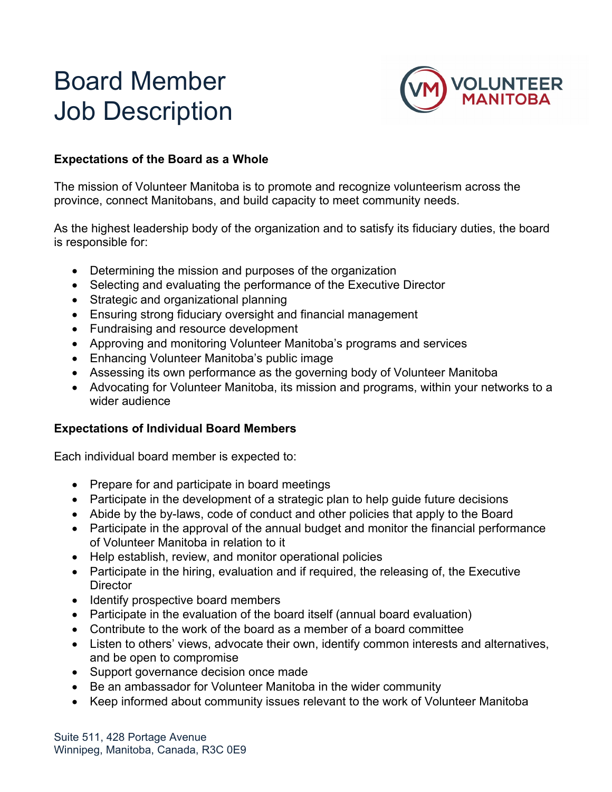# Board Member Job Description



### **Expectations of the Board as a Whole**

The mission of Volunteer Manitoba is to promote and recognize volunteerism across the province, connect Manitobans, and build capacity to meet community needs.

As the highest leadership body of the organization and to satisfy its fiduciary duties, the board is responsible for:

- Determining the mission and purposes of the organization
- Selecting and evaluating the performance of the Executive Director
- Strategic and organizational planning
- Ensuring strong fiduciary oversight and financial management
- Fundraising and resource development
- Approving and monitoring Volunteer Manitoba's programs and services
- Enhancing Volunteer Manitoba's public image
- Assessing its own performance as the governing body of Volunteer Manitoba
- Advocating for Volunteer Manitoba, its mission and programs, within your networks to a wider audience

#### **Expectations of Individual Board Members**

Each individual board member is expected to:

- Prepare for and participate in board meetings
- Participate in the development of a strategic plan to help guide future decisions
- Abide by the by-laws, code of conduct and other policies that apply to the Board
- Participate in the approval of the annual budget and monitor the financial performance of Volunteer Manitoba in relation to it
- Help establish, review, and monitor operational policies
- Participate in the hiring, evaluation and if required, the releasing of, the Executive **Director**
- Identify prospective board members
- Participate in the evaluation of the board itself (annual board evaluation)
- Contribute to the work of the board as a member of a board committee
- Listen to others' views, advocate their own, identify common interests and alternatives, and be open to compromise
- Support governance decision once made
- Be an ambassador for Volunteer Manitoba in the wider community
- Keep informed about community issues relevant to the work of Volunteer Manitoba

Suite 511, 428 Portage Avenue Winnipeg, Manitoba, Canada, R3C 0E9